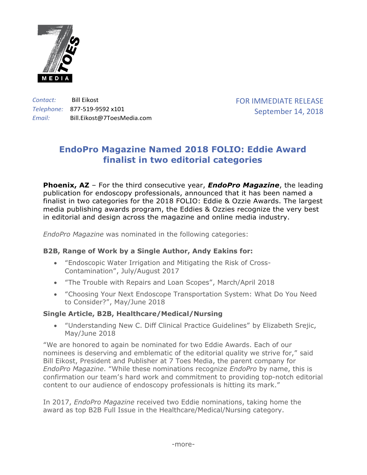

*Contact:* Bill Eikost *Telephone:* 877-519-9592 x101 *Email:* Bill.Eikost@7ToesMedia.com FOR IMMEDIATE RELEASE September 14, 2018

# **EndoPro Magazine Named 2018 FOLIO: Eddie Award finalist in two editorial categories**

**Phoenix, AZ** – For the third consecutive year, *EndoPro Magazine*, the leading publication for endoscopy professionals, announced that it has been named a finalist in two categories for the 2018 FOLIO: Eddie & Ozzie Awards. The largest media publishing awards program, the Eddies & Ozzies recognize the very best in editorial and design across the magazine and online media industry.

*EndoPro Magazine* was nominated in the following categories:

# **B2B, Range of Work by a Single Author, Andy Eakins for:**

- "Endoscopic Water Irrigation and Mitigating the Risk of Cross-Contamination", July/August 2017
- "The Trouble with Repairs and Loan Scopes", March/April 2018
- "Choosing Your Next Endoscope Transportation System: What Do You Need to Consider?", May/June 2018

### **Single Article, B2B, Healthcare/Medical/Nursing**

• "Understanding New C. Diff Clinical Practice Guidelines" by Elizabeth Srejic, May/June 2018

"We are honored to again be nominated for two Eddie Awards. Each of our nominees is deserving and emblematic of the editorial quality we strive for," said Bill Eikost, President and Publisher at 7 Toes Media, the parent company for *EndoPro Magazine*. "While these nominations recognize *EndoPro* by name, this is confirmation our team's hard work and commitment to providing top-notch editorial content to our audience of endoscopy professionals is hitting its mark."

In 2017, *EndoPro Magazine* received two Eddie nominations, taking home the award as top B2B Full Issue in the Healthcare/Medical/Nursing category.